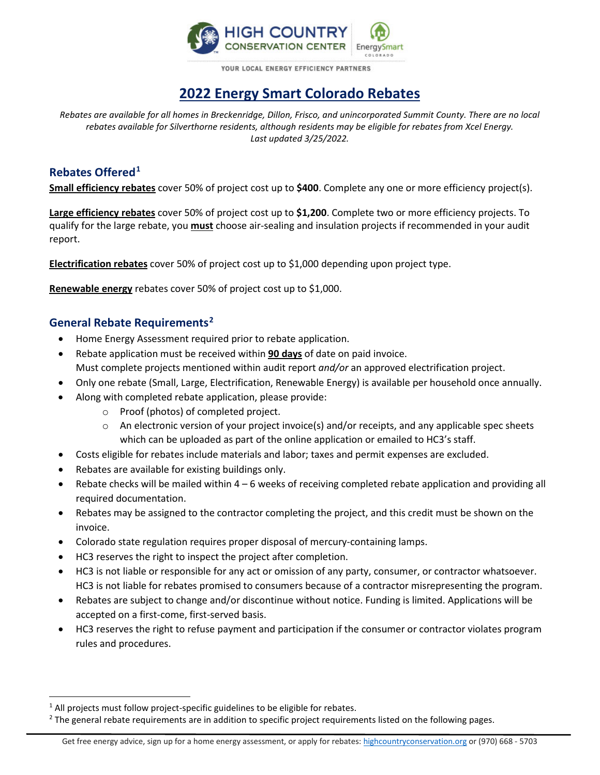

**VOUR LOCAL ENERGY FEFICIENCY PARTNERS** 

# **2022 Energy Smart Colorado Rebates**

*Rebates are available for all homes in Breckenridge, Dillon, Frisco, and unincorporated Summit County. There are no local rebates available for Silverthorne residents, although residents may be eligible for rebates from Xcel Energy. Last updated 3/25/2022.*

## **Rebates Offered[1](#page-0-0)**

**Small efficiency rebates** cover 50% of project cost up to **\$400**. Complete any one or more efficiency project(s).

**Large efficiency rebates** cover 50% of project cost up to **\$1,200**. Complete two or more efficiency projects. To qualify for the large rebate, you **must** choose air-sealing and insulation projects if recommended in your audit report.

**Electrification rebates** cover 50% of project cost up to \$1,000 depending upon project type.

**Renewable energy** rebates cover 50% of project cost up to \$1,000.

# **General Rebate Requirements[2](#page-0-1)**

- Home Energy Assessment required prior to rebate application.
- Rebate application must be received within **90 days** of date on paid invoice. Must complete projects mentioned within audit report *and/or* an approved electrification project.
- Only one rebate (Small, Large, Electrification, Renewable Energy) is available per household once annually.
- Along with completed rebate application, please provide:
	- o Proof (photos) of completed project.
	- $\circ$  An electronic version of your project invoice(s) and/or receipts, and any applicable spec sheets which can be uploaded as part of the online application or emailed to HC3's staff.
- Costs eligible for rebates include materials and labor; taxes and permit expenses are excluded.
- Rebates are available for existing buildings only.
- Rebate checks will be mailed within 4 6 weeks of receiving completed rebate application and providing all required documentation.
- Rebates may be assigned to the contractor completing the project, and this credit must be shown on the invoice.
- Colorado state regulation requires proper disposal of mercury-containing lamps.
- HC3 reserves the right to inspect the project after completion.
- HC3 is not liable or responsible for any act or omission of any party, consumer, or contractor whatsoever. HC3 is not liable for rebates promised to consumers because of a contractor misrepresenting the program.
- Rebates are subject to change and/or discontinue without notice. Funding is limited. Applications will be accepted on a first-come, first-served basis.
- HC3 reserves the right to refuse payment and participation if the consumer or contractor violates program rules and procedures.

<span id="page-0-0"></span><sup>&</sup>lt;sup>1</sup> All projects must follow project-specific guidelines to be eligible for rebates.

<span id="page-0-1"></span><sup>&</sup>lt;sup>2</sup> The general rebate requirements are in addition to specific project requirements listed on the following pages.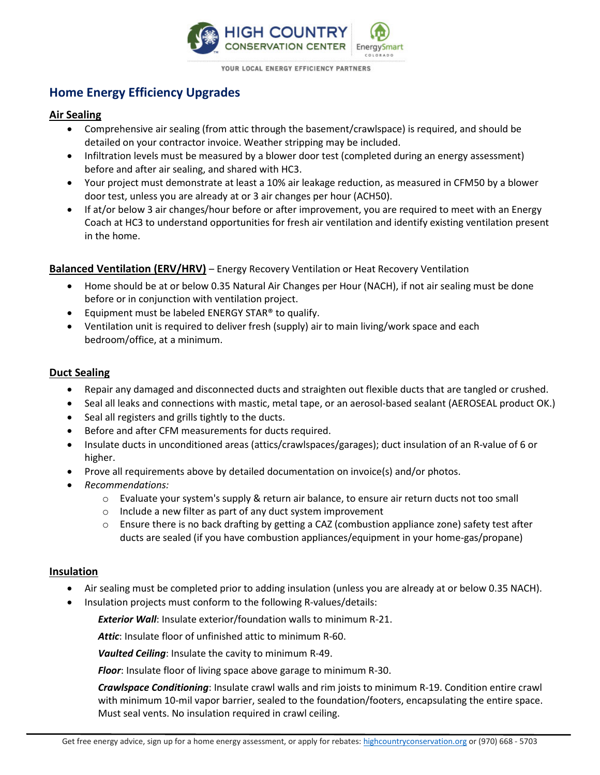

YOUR LOCAL ENERGY EFFICIENCY PARTNERS

# **Home Energy Efficiency Upgrades**

### **Air Sealing**

- Comprehensive air sealing (from attic through the basement/crawlspace) is required, and should be detailed on your contractor invoice. Weather stripping may be included.
- Infiltration levels must be measured by a blower door test (completed during an energy assessment) before and after air sealing, and shared with HC3.
- Your project must demonstrate at least a 10% air leakage reduction, as measured in CFM50 by a blower door test, unless you are already at or 3 air changes per hour (ACH50).
- If at/or below 3 air changes/hour before or after improvement, you are required to meet with an Energy Coach at HC3 to understand opportunities for fresh air ventilation and identify existing ventilation present in the home.

### **Balanced Ventilation (ERV/HRV)** – Energy Recovery Ventilation or Heat Recovery Ventilation

- Home should be at or below 0.35 Natural Air Changes per Hour (NACH), if not air sealing must be done before or in conjunction with ventilation project.
- Equipment must be labeled ENERGY STAR® to qualify.
- Ventilation unit is required to deliver fresh (supply) air to main living/work space and each bedroom/office, at a minimum.

### **Duct Sealing**

- Repair any damaged and disconnected ducts and straighten out flexible ducts that are tangled or crushed.
- Seal all leaks and connections with mastic, metal tape, or an aerosol-based sealant (AEROSEAL product OK.)
- Seal all registers and grills tightly to the ducts.
- Before and after CFM measurements for ducts required.
- Insulate ducts in unconditioned areas (attics/crawlspaces/garages); duct insulation of an R-value of 6 or higher.
- Prove all requirements above by detailed documentation on invoice(s) and/or photos.
- *Recommendations:*
	- o Evaluate your system's supply & return air balance, to ensure air return ducts not too small
	- o Include a new filter as part of any duct system improvement
	- $\circ$  Ensure there is no back drafting by getting a CAZ (combustion appliance zone) safety test after ducts are sealed (if you have combustion appliances/equipment in your home-gas/propane)

#### **Insulation**

- Air sealing must be completed prior to adding insulation (unless you are already at or below 0.35 NACH).
- Insulation projects must conform to the following R-values/details:

*Exterior Wall*: Insulate exterior/foundation walls to minimum R-21.

*Attic*: Insulate floor of unfinished attic to minimum R-60.

*Vaulted Ceiling*: Insulate the cavity to minimum R-49.

*Floor*: Insulate floor of living space above garage to minimum R-30.

*Crawlspace Conditioning*: Insulate crawl walls and rim joists to minimum R-19. Condition entire crawl with minimum 10-mil vapor barrier, sealed to the foundation/footers, encapsulating the entire space. Must seal vents. No insulation required in crawl ceiling.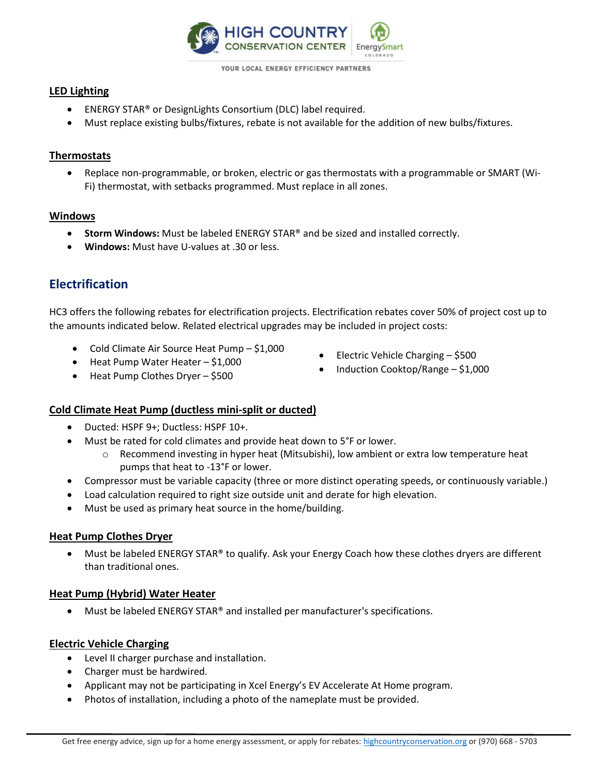

**VOUR LOCAL ENERGY FEFICIENCY PARTNERS** 

### **LED Lighting**

- ENERGY STAR® or DesignLights Consortium (DLC) label required.
- Must replace existing bulbs/fixtures, rebate is not available for the addition of new bulbs/fixtures.

### **Thermostats**

• Replace non-programmable, or broken, electric or gas thermostats with a programmable or SMART (Wi-Fi) thermostat, with setbacks programmed. Must replace in all zones.

### **Windows**

- **Storm Windows:** Must be labeled ENERGY STAR® and be sized and installed correctly.
- **Windows:** Must have U-values at .30 or less.

# **Electrification**

HC3 offers the following rebates for electrification projects. Electrification rebates cover 50% of project cost up to the amounts indicated below. Related electrical upgrades may be included in project costs:

- Cold Climate Air Source Heat Pump \$1,000
- Heat Pump Water Heater \$1,000
- Electric Vehicle Charging \$500
- Induction Cooktop/Range \$1,000

• Heat Pump Clothes Dryer – \$500

### **Cold Climate Heat Pump (ductless mini-split or ducted)**

- Ducted: HSPF 9+; Ductless: HSPF 10+.
- Must be rated for cold climates and provide heat down to 5°F or lower.
	- o Recommend investing in hyper heat (Mitsubishi), low ambient or extra low temperature heat pumps that heat to -13°F or lower.
- Compressor must be variable capacity (three or more distinct operating speeds, or continuously variable.)
- Load calculation required to right size outside unit and derate for high elevation.
- Must be used as primary heat source in the home/building.

### **Heat Pump Clothes Dryer**

• Must be labeled ENERGY STAR® to qualify. Ask your Energy Coach how these clothes dryers are different than traditional ones.

#### **Heat Pump (Hybrid) Water Heater**

• Must be labeled ENERGY STAR® and installed per manufacturer's specifications.

### **Electric Vehicle Charging**

- Level II charger purchase and installation.
- Charger must be hardwired.
- Applicant may not be participating in Xcel Energy's EV Accelerate At Home program.
- Photos of installation, including a photo of the nameplate must be provided.